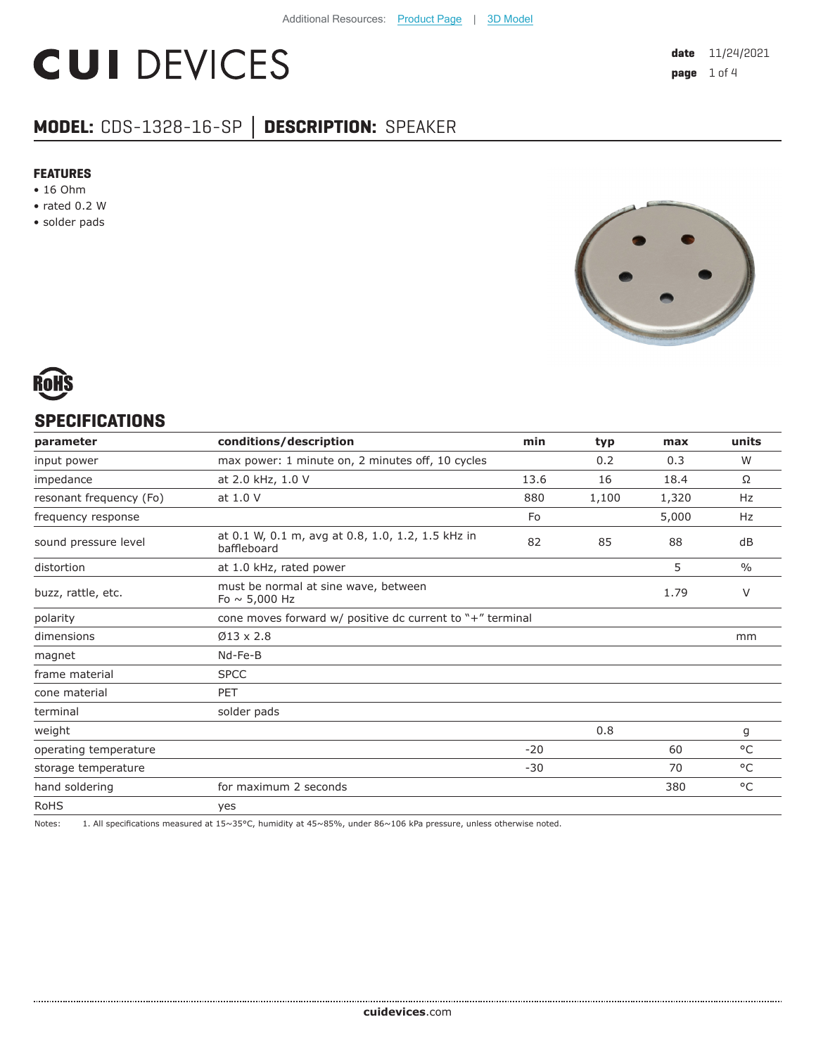# **CUI DEVICES**

### **MODEL:** CDS-1328-16-SP **│ DESCRIPTION:** SPEAKER

#### **FEATURES**

- 16 Ohm
- rated 0.2 W
- solder pads





#### **SPECIFICATIONS**

| parameter               | conditions/description                                           | min   | typ   | max   | units         |
|-------------------------|------------------------------------------------------------------|-------|-------|-------|---------------|
| input power             | max power: 1 minute on, 2 minutes off, 10 cycles                 |       | 0.2   | 0.3   | W             |
| impedance               | at 2.0 kHz, 1.0 V                                                | 13.6  | 16    | 18.4  | Ω             |
| resonant frequency (Fo) | at 1.0 V                                                         | 880   | 1,100 | 1,320 | Hz            |
| frequency response      |                                                                  | Fo    |       | 5,000 | Hz            |
| sound pressure level    | at 0.1 W, 0.1 m, avg at 0.8, 1.0, 1.2, 1.5 kHz in<br>baffleboard | 82    | 85    | 88    | dB            |
| distortion              | at 1.0 kHz, rated power                                          |       |       | 5     | $\frac{0}{0}$ |
| buzz, rattle, etc.      | must be normal at sine wave, between<br>Fo $\sim$ 5,000 Hz       |       |       | 1.79  | V             |
| polarity                | cone moves forward $w/$ positive dc current to $"$ +" terminal   |       |       |       |               |
| dimensions              | $\varnothing$ 13 x 2.8                                           |       |       |       | mm            |
| magnet                  | Nd-Fe-B                                                          |       |       |       |               |
| frame material          | <b>SPCC</b>                                                      |       |       |       |               |
| cone material           | <b>PET</b>                                                       |       |       |       |               |
| terminal                | solder pads                                                      |       |       |       |               |
| weight                  |                                                                  |       | 0.8   |       | g             |
| operating temperature   |                                                                  | $-20$ |       | 60    | $^{\circ}$ C  |
| storage temperature     |                                                                  | $-30$ |       | 70    | $^{\circ}$ C  |
| hand soldering          | for maximum 2 seconds                                            |       |       | 380   | $^{\circ}$ C  |
| <b>RoHS</b>             | yes                                                              |       |       |       |               |

Notes: 1. All specifications measured at 15~35°C, humidity at 45~85%, under 86~106 kPa pressure, unless otherwise noted.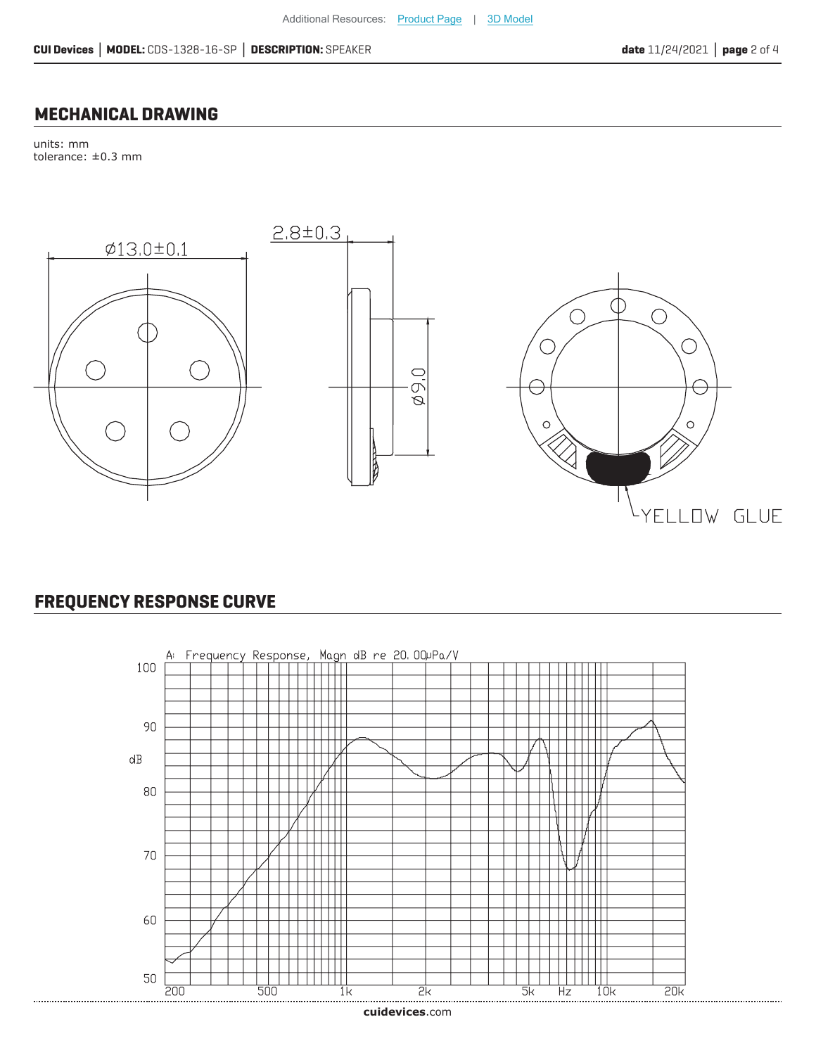#### **MECHANICAL DRAWING**

units: mm tolerance: ±0.3 mm



#### **FREQUENCY RESPONSE CURVE**

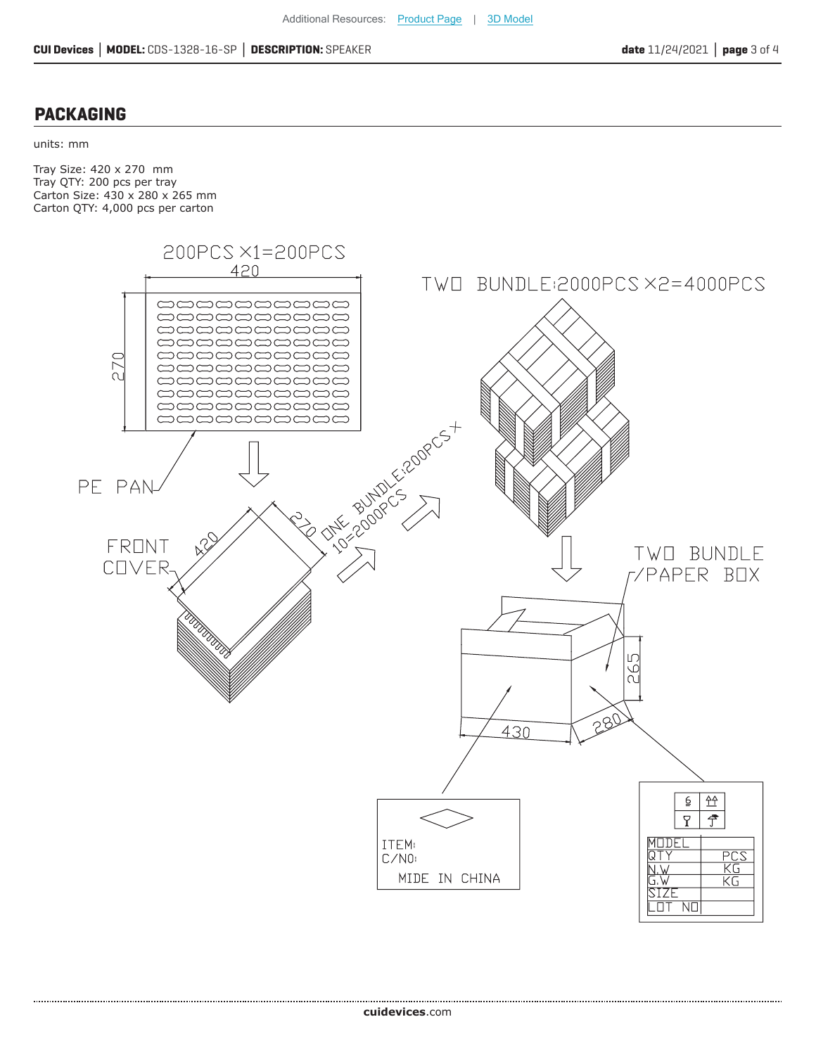#### **PACKAGING**

units: mm

Tray Size: 420 x 270 mm Tray QTY: 200 pcs per tray Carton Size: 430 x 280 x 265 mm Carton QTY: 4,000 pcs per carton